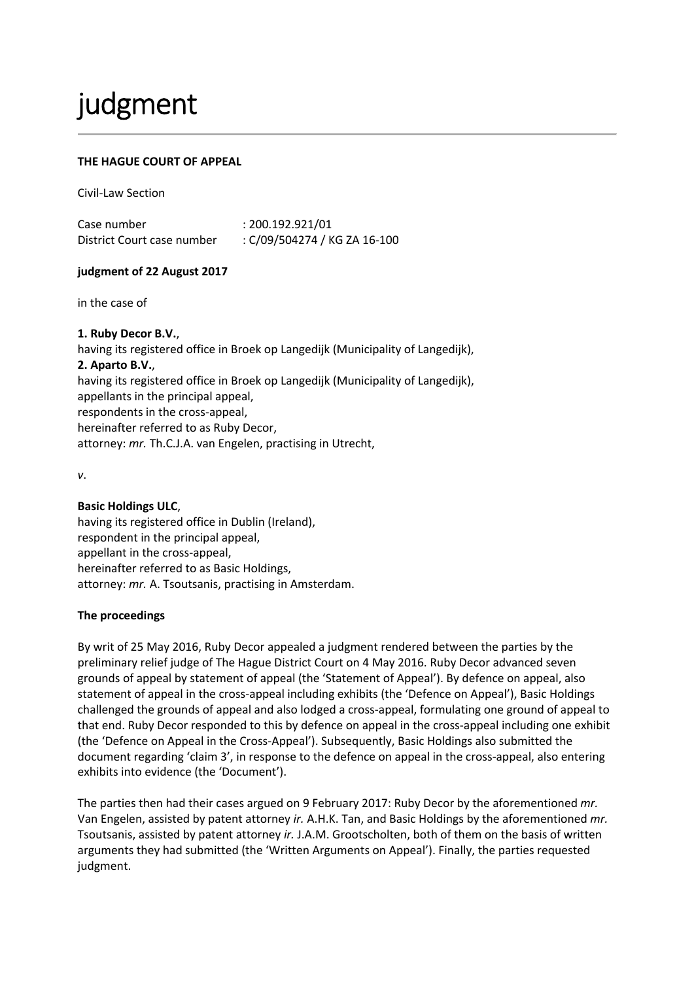# judgment

# **THE HAGUE COURT OF APPEAL**

Civil-Law Section

Case number : 200.192.921/01 District Court case number : C/09/504274 / KG ZA 16-100

### **judgment of 22 August 2017**

in the case of

#### **1. Ruby Decor B.V.**,

having its registered office in Broek op Langedijk (Municipality of Langedijk), **2. Aparto B.V.**, having its registered office in Broek op Langedijk (Municipality of Langedijk), appellants in the principal appeal, respondents in the cross-appeal, hereinafter referred to as Ruby Decor, attorney: *mr.* Th.C.J.A. van Engelen, practising in Utrecht,

*v*.

# **Basic Holdings ULC**,

having its registered office in Dublin (Ireland), respondent in the principal appeal, appellant in the cross-appeal, hereinafter referred to as Basic Holdings, attorney: *mr.* A. Tsoutsanis, practising in Amsterdam.

# **The proceedings**

By writ of 25 May 2016, Ruby Decor appealed a judgment rendered between the parties by the preliminary relief judge of The Hague District Court on 4 May 2016. Ruby Decor advanced seven grounds of appeal by statement of appeal (the 'Statement of Appeal'). By defence on appeal, also statement of appeal in the cross-appeal including exhibits (the 'Defence on Appeal'), Basic Holdings challenged the grounds of appeal and also lodged a cross-appeal, formulating one ground of appeal to that end. Ruby Decor responded to this by defence on appeal in the cross-appeal including one exhibit (the 'Defence on Appeal in the Cross-Appeal'). Subsequently, Basic Holdings also submitted the document regarding 'claim 3', in response to the defence on appeal in the cross-appeal, also entering exhibits into evidence (the 'Document').

The parties then had their cases argued on 9 February 2017: Ruby Decor by the aforementioned *mr.* Van Engelen, assisted by patent attorney *ir.* A.H.K. Tan, and Basic Holdings by the aforementioned *mr.* Tsoutsanis, assisted by patent attorney *ir.* J.A.M. Grootscholten, both of them on the basis of written arguments they had submitted (the 'Written Arguments on Appeal'). Finally, the parties requested judgment.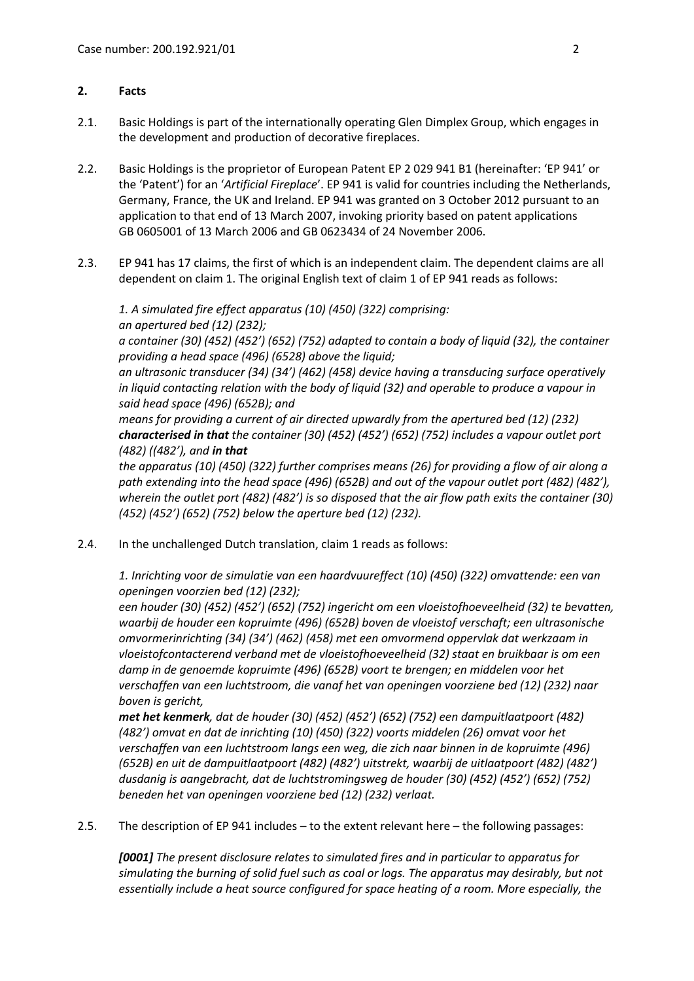## **2. Facts**

- 2.1. Basic Holdings is part of the internationally operating Glen Dimplex Group, which engages in the development and production of decorative fireplaces.
- 2.2. Basic Holdings is the proprietor of European Patent EP 2 029 941 B1 (hereinafter: 'EP 941' or the 'Patent') for an '*Artificial Fireplace*'. EP 941 is valid for countries including the Netherlands, Germany, France, the UK and Ireland. EP 941 was granted on 3 October 2012 pursuant to an application to that end of 13 March 2007, invoking priority based on patent applications GB 0605001 of 13 March 2006 and GB 0623434 of 24 November 2006.
- 2.3. EP 941 has 17 claims, the first of which is an independent claim. The dependent claims are all dependent on claim 1. The original English text of claim 1 of EP 941 reads as follows:

*1. A simulated fire effect apparatus (10) (450) (322) comprising: an apertured bed (12) (232); a container (30) (452) (452') (652) (752) adapted to contain a body of liquid (32), the container providing a head space (496) (6528) above the liquid; an ultrasonic transducer (34) (34') (462) (458) device having a transducing surface operatively in liquid contacting relation with the body of liquid (32) and operable to produce a vapour in said head space (496) (652B); and* 

*means for providing a current of air directed upwardly from the apertured bed (12) (232) characterised in that the container (30) (452) (452') (652) (752) includes a vapour outlet port (482) ((482'), and in that*

*the apparatus (10) (450) (322) further comprises means (26) for providing a flow of air along a path extending into the head space (496) (652B) and out of the vapour outlet port (482) (482'), wherein the outlet port (482) (482') is so disposed that the air flow path exits the container (30) (452) (452') (652) (752) below the aperture bed (12) (232).*

2.4. In the unchallenged Dutch translation, claim 1 reads as follows:

*1. Inrichting voor de simulatie van een haardvuureffect (10) (450) (322) omvattende: een van openingen voorzien bed (12) (232);* 

*een houder (30) (452) (452') (652) (752) ingericht om een vloeistofhoeveelheid (32) te bevatten, waarbij de houder een kopruimte (496) (652B) boven de vloeistof verschaft; een ultrasonische omvormerinrichting (34) (34') (462) (458) met een omvormend oppervlak dat werkzaam in vloeistofcontacterend verband met de vloeistofhoeveelheid (32) staat en bruikbaar is om een damp in de genoemde kopruimte (496) (652B) voort te brengen; en middelen voor het verschaffen van een luchtstroom, die vanaf het van openingen voorziene bed (12) (232) naar boven is gericht,* 

*met het kenmerk, dat de houder (30) (452) (452') (652) (752) een dampuitlaatpoort (482) (482') omvat en dat de inrichting (10) (450) (322) voorts middelen (26) omvat voor het verschaffen van een luchtstroom langs een weg, die zich naar binnen in de kopruimte (496) (652B) en uit de dampuitlaatpoort (482) (482') uitstrekt, waarbij de uitlaatpoort (482) (482') dusdanig is aangebracht, dat de luchtstromingsweg de houder (30) (452) (452') (652) (752) beneden het van openingen voorziene bed (12) (232) verlaat.*

2.5. The description of EP 941 includes – to the extent relevant here – the following passages:

*[0001] The present disclosure relates to simulated fires and in particular to apparatus for simulating the burning of solid fuel such as coal or logs. The apparatus may desirably, but not essentially include a heat source configured for space heating of a room. More especially, the*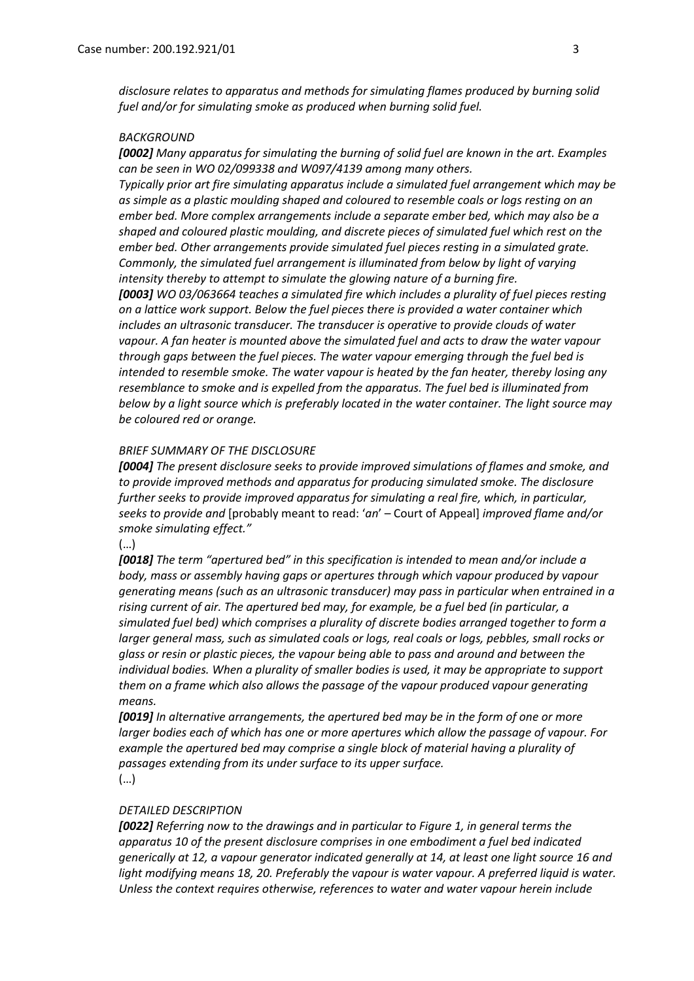*disclosure relates to apparatus and methods for simulating flames produced by burning solid fuel and/or for simulating smoke as produced when burning solid fuel.*

#### *BACKGROUND*

*[0002] Many apparatus for simulating the burning of solid fuel are known in the art. Examples can be seen in WO 02/099338 and W097/4139 among many others.*

*Typically prior art fire simulating apparatus include a simulated fuel arrangement which may be as simple as a plastic moulding shaped and coloured to resemble coals or logs resting on an ember bed. More complex arrangements include a separate ember bed, which may also be a shaped and coloured plastic moulding, and discrete pieces of simulated fuel which rest on the ember bed. Other arrangements provide simulated fuel pieces resting in a simulated grate. Commonly, the simulated fuel arrangement is illuminated from below by light of varying intensity thereby to attempt to simulate the glowing nature of a burning fire.* 

*[0003] WO 03/063664 teaches a simulated fire which includes a plurality of fuel pieces resting on a lattice work support. Below the fuel pieces there is provided a water container which includes an ultrasonic transducer. The transducer is operative to provide clouds of water vapour. A fan heater is mounted above the simulated fuel and acts to draw the water vapour through gaps between the fuel pieces. The water vapour emerging through the fuel bed is intended to resemble smoke. The water vapour is heated by the fan heater, thereby losing any resemblance to smoke and is expelled from the apparatus. The fuel bed is illuminated from below by a light source which is preferably located in the water container. The light source may be coloured red or orange.*

#### *BRIEF SUMMARY OF THE DISCLOSURE*

*[0004] The present disclosure seeks to provide improved simulations of flames and smoke, and to provide improved methods and apparatus for producing simulated smoke. The disclosure further seeks to provide improved apparatus for simulating a real fire, which, in particular, seeks to provide and* [probably meant to read: '*an*' – Court of Appeal] *improved flame and/or smoke simulating effect."*

(…)

*[0018] The term "apertured bed" in this specification is intended to mean and/or include a body, mass or assembly having gaps or apertures through which vapour produced by vapour generating means (such as an ultrasonic transducer) may pass in particular when entrained in a rising current of air. The apertured bed may, for example, be a fuel bed (in particular, a simulated fuel bed) which comprises a plurality of discrete bodies arranged together to form a larger general mass, such as simulated coals or logs, real coals or logs, pebbles, small rocks or glass or resin or plastic pieces, the vapour being able to pass and around and between the individual bodies. When a plurality of smaller bodies is used, it may be appropriate to support them on a frame which also allows the passage of the vapour produced vapour generating means.*

*[0019] In alternative arrangements, the apertured bed may be in the form of one or more larger bodies each of which has one or more apertures which allow the passage of vapour. For example the apertured bed may comprise a single block of material having a plurality of passages extending from its under surface to its upper surface.* (…)

#### *DETAILED DESCRIPTION*

*[0022] Referring now to the drawings and in particular to Figure 1, in general terms the apparatus 10 of the present disclosure comprises in one embodiment a fuel bed indicated generically at 12, a vapour generator indicated generally at 14, at least one light source 16 and*  light modifying means 18, 20. Preferably the vapour is water vapour. A preferred liquid is water. *Unless the context requires otherwise, references to water and water vapour herein include*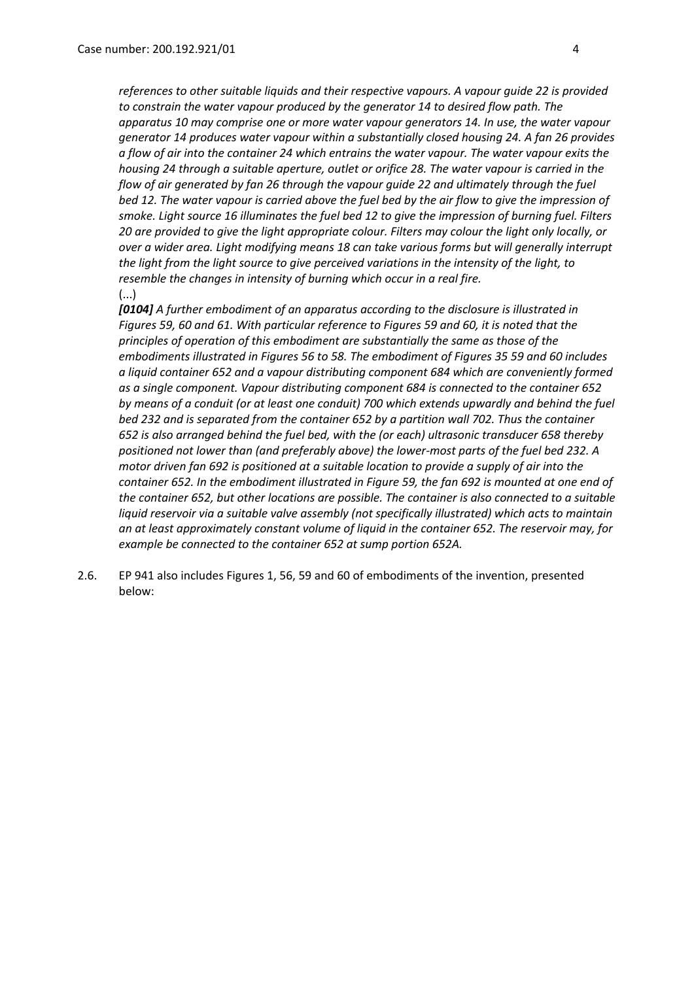*references to other suitable liquids and their respective vapours. A vapour guide 22 is provided to constrain the water vapour produced by the generator 14 to desired flow path. The apparatus 10 may comprise one or more water vapour generators 14. In use, the water vapour generator 14 produces water vapour within a substantially closed housing 24. A fan 26 provides a flow of air into the container 24 which entrains the water vapour. The water vapour exits the housing 24 through a suitable aperture, outlet or orifice 28. The water vapour is carried in the flow of air generated by fan 26 through the vapour guide 22 and ultimately through the fuel bed 12. The water vapour is carried above the fuel bed by the air flow to give the impression of smoke. Light source 16 illuminates the fuel bed 12 to give the impression of burning fuel. Filters 20 are provided to give the light appropriate colour. Filters may colour the light only locally, or over a wider area. Light modifying means 18 can take various forms but will generally interrupt the light from the light source to give perceived variations in the intensity of the light, to resemble the changes in intensity of burning which occur in a real fire.* (...)

*[0104] A further embodiment of an apparatus according to the disclosure is illustrated in Figures 59, 60 and 61. With particular reference to Figures 59 and 60, it is noted that the principles of operation of this embodiment are substantially the same as those of the embodiments illustrated in Figures 56 to 58. The embodiment of Figures 35 59 and 60 includes a liquid container 652 and a vapour distributing component 684 which are conveniently formed as a single component. Vapour distributing component 684 is connected to the container 652 by means of a conduit (or at least one conduit) 700 which extends upwardly and behind the fuel bed 232 and is separated from the container 652 by a partition wall 702. Thus the container 652 is also arranged behind the fuel bed, with the (or each) ultrasonic transducer 658 thereby positioned not lower than (and preferably above) the lower-most parts of the fuel bed 232. A motor driven fan 692 is positioned at a suitable location to provide a supply of air into the container 652. In the embodiment illustrated in Figure 59, the fan 692 is mounted at one end of the container 652, but other locations are possible. The container is also connected to a suitable liquid reservoir via a suitable valve assembly (not specifically illustrated) which acts to maintain an at least approximately constant volume of liquid in the container 652. The reservoir may, for example be connected to the container 652 at sump portion 652A.*

2.6. EP 941 also includes Figures 1, 56, 59 and 60 of embodiments of the invention, presented below: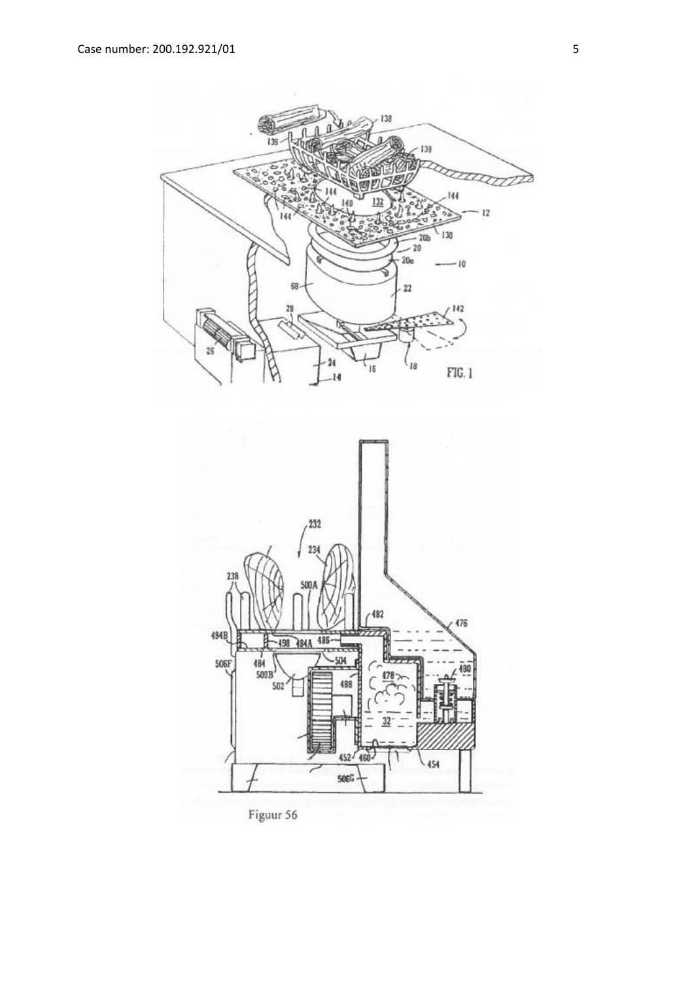



Figuur 56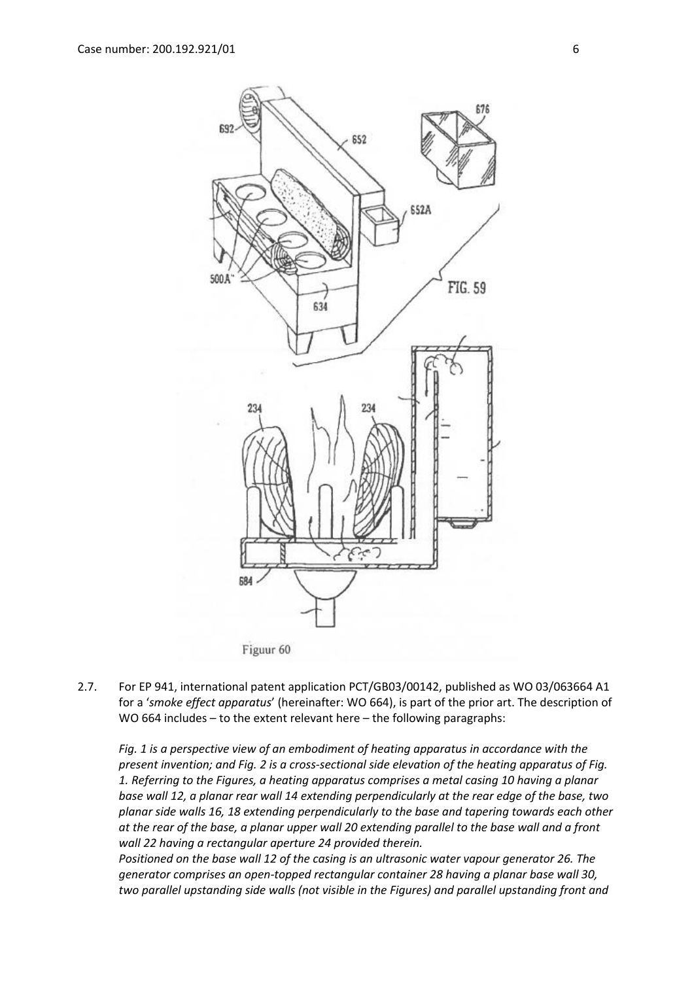

2.7. For EP 941, international patent application PCT/GB03/00142, published as WO 03/063664 A1 for a '*smoke effect apparatus*' (hereinafter: WO 664), is part of the prior art. The description of WO 664 includes – to the extent relevant here – the following paragraphs:

*Fig. 1 is a perspective view of an embodiment of heating apparatus in accordance with the present invention; and Fig. 2 is a cross-sectional side elevation of the heating apparatus of Fig. 1. Referring to the Figures, a heating apparatus comprises a metal casing 10 having a planar base wall 12, a planar rear wall 14 extending perpendicularly at the rear edge of the base, two planar side walls 16, 18 extending perpendicularly to the base and tapering towards each other at the rear of the base, a planar upper wall 20 extending parallel to the base wall and a front wall 22 having a rectangular aperture 24 provided therein.*

*Positioned on the base wall 12 of the casing is an ultrasonic water vapour generator 26. The generator comprises an open-topped rectangular container 28 having a planar base wall 30, two parallel upstanding side walls (not visible in the Figures) and parallel upstanding front and*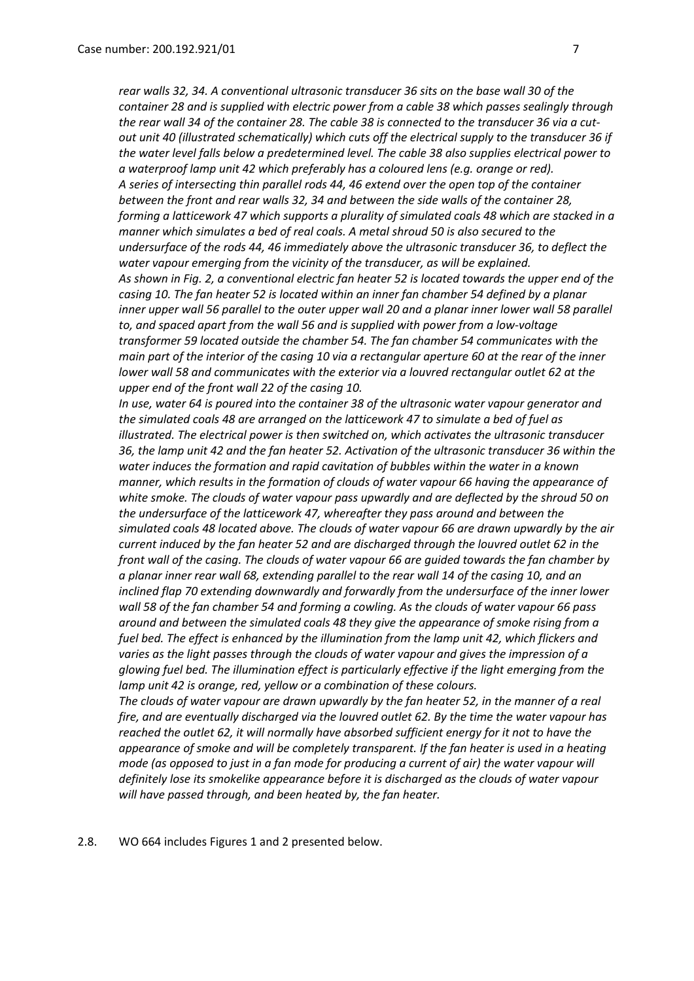*rear walls 32, 34. A conventional ultrasonic transducer 36 sits on the base wall 30 of the container 28 and is supplied with electric power from a cable 38 which passes sealingly through the rear wall 34 of the container 28. The cable 38 is connected to the transducer 36 via a cutout unit 40 (illustrated schematically) which cuts off the electrical supply to the transducer 36 if the water level falls below a predetermined level. The cable 38 also supplies electrical power to a waterproof lamp unit 42 which preferably has a coloured lens (e.g. orange or red). A series of intersecting thin parallel rods 44, 46 extend over the open top of the container between the front and rear walls 32, 34 and between the side walls of the container 28, forming a latticework 47 which supports a plurality of simulated coals 48 which are stacked in a manner which simulates a bed of real coals. A metal shroud 50 is also secured to the undersurface of the rods 44, 46 immediately above the ultrasonic transducer 36, to deflect the water vapour emerging from the vicinity of the transducer, as will be explained. As shown in Fig. 2, a conventional electric fan heater 52 is located towards the upper end of the casing 10. The fan heater 52 is located within an inner fan chamber 54 defined by a planar inner upper wall 56 parallel to the outer upper wall 20 and a planar inner lower wall 58 parallel to, and spaced apart from the wall 56 and is supplied with power from a low-voltage transformer 59 located outside the chamber 54. The fan chamber 54 communicates with the main part of the interior of the casing 10 via a rectangular aperture 60 at the rear of the inner lower wall 58 and communicates with the exterior via a louvred rectangular outlet 62 at the upper end of the front wall 22 of the casing 10.*

*In use, water 64 is poured into the container 38 of the ultrasonic water vapour generator and the simulated coals 48 are arranged on the latticework 47 to simulate a bed of fuel as illustrated. The electrical power is then switched on, which activates the ultrasonic transducer 36, the lamp unit 42 and the fan heater 52. Activation of the ultrasonic transducer 36 within the water induces the formation and rapid cavitation of bubbles within the water in a known manner, which results in the formation of clouds of water vapour 66 having the appearance of white smoke. The clouds of water vapour pass upwardly and are deflected by the shroud 50 on the undersurface of the latticework 47, whereafter they pass around and between the simulated coals 48 located above. The clouds of water vapour 66 are drawn upwardly by the air current induced by the fan heater 52 and are discharged through the louvred outlet 62 in the front wall of the casing. The clouds of water vapour 66 are guided towards the fan chamber by a planar inner rear wall 68, extending parallel to the rear wall 14 of the casing 10, and an inclined flap 70 extending downwardly and forwardly from the undersurface of the inner lower wall 58 of the fan chamber 54 and forming a cowling. As the clouds of water vapour 66 pass around and between the simulated coals 48 they give the appearance of smoke rising from a fuel bed. The effect is enhanced by the illumination from the lamp unit 42, which flickers and varies as the light passes through the clouds of water vapour and gives the impression of a glowing fuel bed. The illumination effect is particularly effective if the light emerging from the lamp unit 42 is orange, red, yellow or a combination of these colours.*

*The clouds of water vapour are drawn upwardly by the fan heater 52, in the manner of a real fire, and are eventually discharged via the louvred outlet 62. By the time the water vapour has reached the outlet 62, it will normally have absorbed sufficient energy for it not to have the appearance of smoke and will be completely transparent. If the fan heater is used in a heating mode (as opposed to just in a fan mode for producing a current of air) the water vapour will definitely lose its smokelike appearance before it is discharged as the clouds of water vapour will have passed through, and been heated by, the fan heater.*

2.8. WO 664 includes Figures 1 and 2 presented below.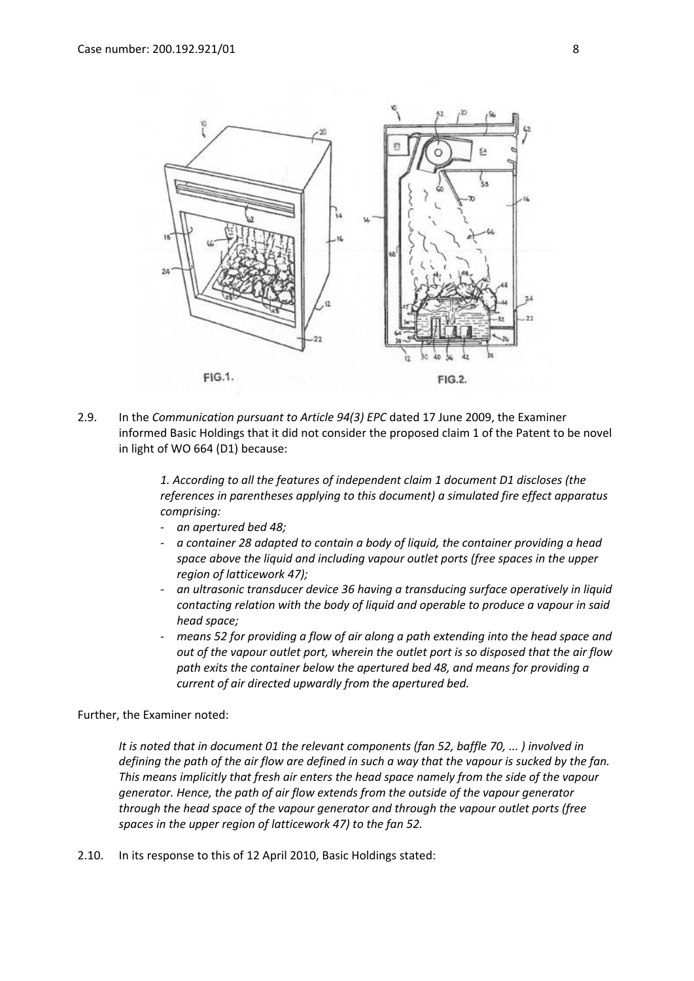

2.9. In the *Communication pursuant to Article 94(3) EPC* dated 17 June 2009, the Examiner informed Basic Holdings that it did not consider the proposed claim 1 of the Patent to be novel in light of WO 664 (D1) because:

> *1. According to all the features of independent claim 1 document D1 discloses (the references in parentheses applying to this document) a simulated fire effect apparatus comprising:*

- *- an apertured bed 48;*
- *- a container 28 adapted to contain a body of liquid, the container providing a head space above the liquid and including vapour outlet ports (free spaces in the upper region of latticework 47);*
- *- an ultrasonic transducer device 36 having a transducing surface operatively in liquid contacting relation with the body of liquid and operable to produce a vapour in said head space;*
- *- means 52 for providing a flow of air along a path extending into the head space and out of the vapour outlet port, wherein the outlet port is so disposed that the air flow path exits the container below the apertured bed 48, and means for providing a current of air directed upwardly from the apertured bed.*

Further, the Examiner noted:

*It is noted that in document 01 the relevant components (fan 52, baffle 70, ... ) involved in defining the path of the air flow are defined in such a way that the vapour is sucked by the fan. This means implicitly that fresh air enters the head space namely from the side of the vapour generator. Hence, the path of air flow extends from the outside of the vapour generator through the head space of the vapour generator and through the vapour outlet ports (free spaces in the upper region of latticework 47) to the fan 52.*

2.10. In its response to this of 12 April 2010, Basic Holdings stated: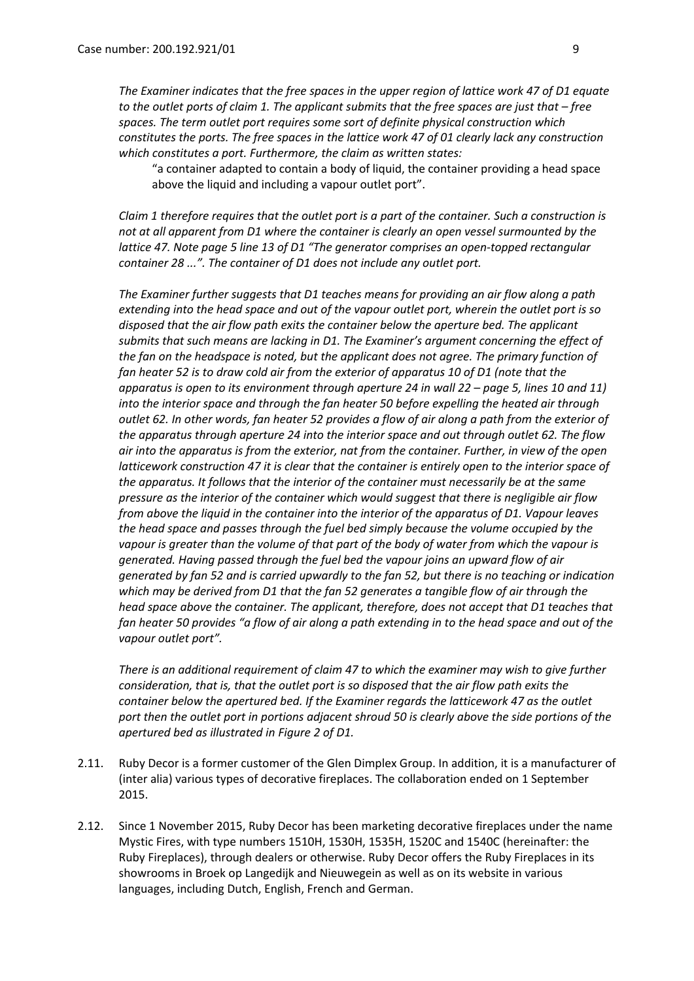*The Examiner indicates that the free spaces in the upper region of lattice work 47 of D1 equate to the outlet ports of claim 1. The applicant submits that the free spaces are just that – free spaces. The term outlet port requires some sort of definite physical construction which constitutes the ports. The free spaces in the lattice work 47 of 01 clearly lack any construction which constitutes a port. Furthermore, the claim as written states:* 

"a container adapted to contain a body of liquid, the container providing a head space above the liquid and including a vapour outlet port".

*Claim 1 therefore requires that the outlet port is a part of the container. Such a construction is not at all apparent from D1 where the container is clearly an open vessel surmounted by the lattice 47. Note page 5 line 13 of D1 "The generator comprises an open-topped rectangular container 28 ...". The container of D1 does not include any outlet port.*

*The Examiner further suggests that D1 teaches means for providing an air flow along a path extending into the head space and out of the vapour outlet port, wherein the outlet port is so disposed that the air flow path exits the container below the aperture bed. The applicant submits that such means are lacking in D1. The Examiner's argument concerning the effect of the fan on the headspace is noted, but the applicant does not agree. The primary function of fan heater 52 is to draw cold air from the exterior of apparatus 10 of D1 (note that the apparatus is open to its environment through aperture 24 in wall 22 – page 5, lines 10 and 11) into the interior space and through the fan heater 50 before expelling the heated air through outlet 62. In other words, fan heater 52 provides a flow of air along a path from the exterior of the apparatus through aperture 24 into the interior space and out through outlet 62. The flow air into the apparatus is from the exterior, nat from the container. Further, in view of the open latticework construction 47 it is clear that the container is entirely open to the interior space of the apparatus. It follows that the interior of the container must necessarily be at the same pressure as the interior of the container which would suggest that there is negligible air flow from above the liquid in the container into the interior of the apparatus of D1. Vapour leaves the head space and passes through the fuel bed simply because the volume occupied by the vapour is greater than the volume of that part of the body of water from which the vapour is generated. Having passed through the fuel bed the vapour joins an upward flow of air generated by fan 52 and is carried upwardly to the fan 52, but there is no teaching or indication which may be derived from D1 that the fan 52 generates a tangible flow of air through the head space above the container. The applicant, therefore, does not accept that D1 teaches that fan heater 50 provides "a flow of air along a path extending in to the head space and out of the vapour outlet port".*

*There is an additional requirement of claim 47 to which the examiner may wish to give further consideration, that is, that the outlet port is so disposed that the air flow path exits the container below the apertured bed. If the Examiner regards the latticework 47 as the outlet port then the outlet port in portions adjacent shroud 50 is clearly above the side portions of the apertured bed as illustrated in Figure 2 of D1.*

- 2.11. Ruby Decor is a former customer of the Glen Dimplex Group. In addition, it is a manufacturer of (inter alia) various types of decorative fireplaces. The collaboration ended on 1 September 2015.
- 2.12. Since 1 November 2015, Ruby Decor has been marketing decorative fireplaces under the name Mystic Fires, with type numbers 1510H, 1530H, 1535H, 1520C and 1540C (hereinafter: the Ruby Fireplaces), through dealers or otherwise. Ruby Decor offers the Ruby Fireplaces in its showrooms in Broek op Langedijk and Nieuwegein as well as on its website in various languages, including Dutch, English, French and German.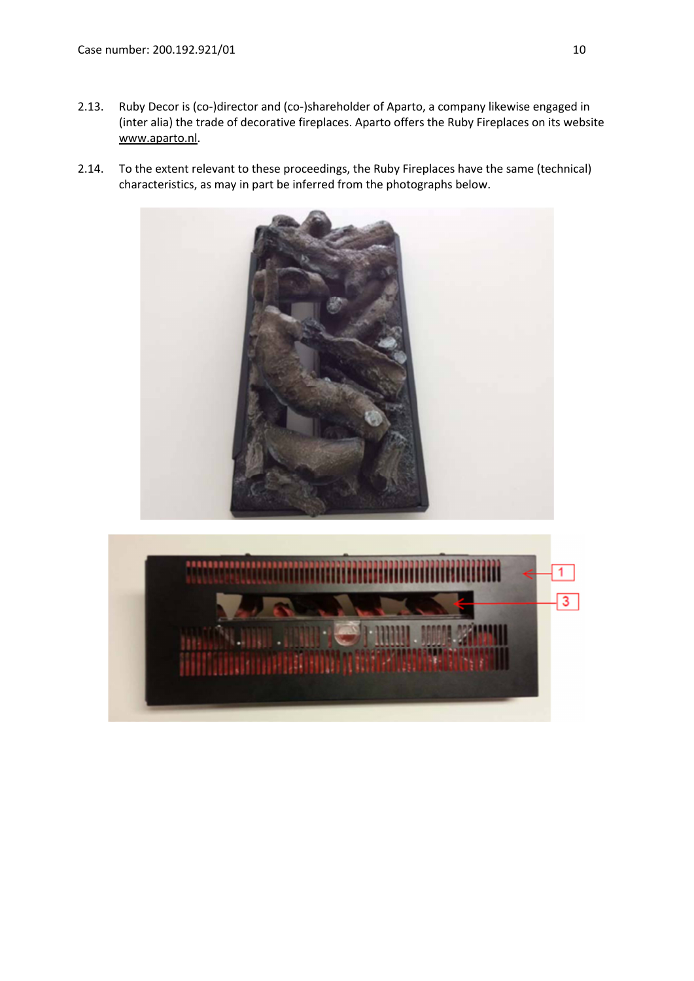- 2.13. Ruby Decor is (co-)director and (co-)shareholder of Aparto, a company likewise engaged in (inter alia) the trade of decorative fireplaces. Aparto offers the Ruby Fireplaces on its website www.aparto.nl.
- 2.14. To the extent relevant to these proceedings, the Ruby Fireplaces have the same (technical) characteristics, as may in part be inferred from the photographs below.



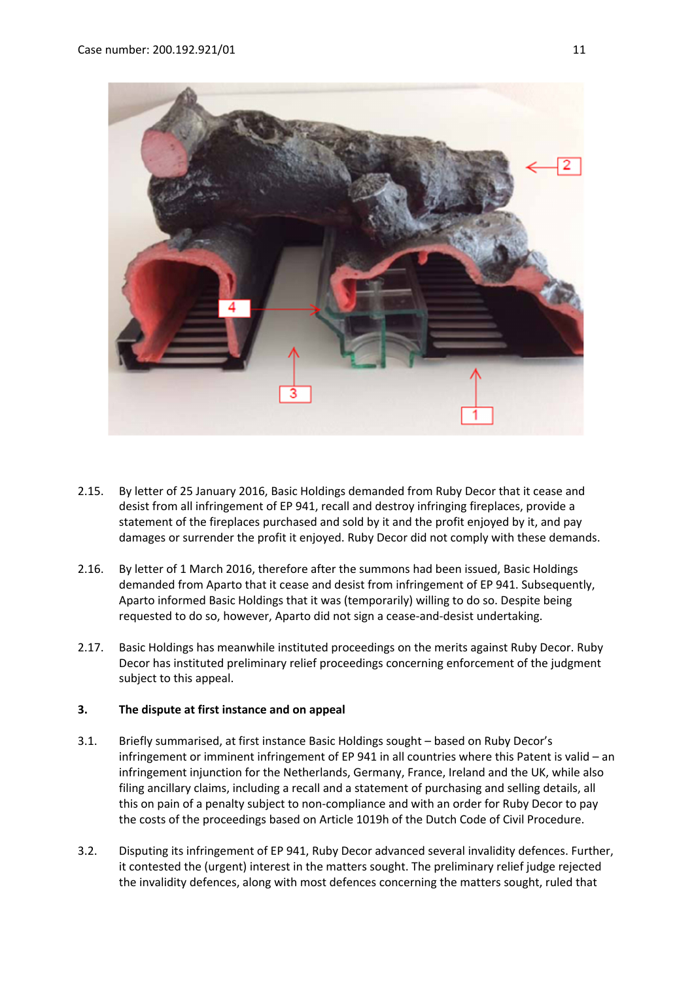

- 2.15. By letter of 25 January 2016, Basic Holdings demanded from Ruby Decor that it cease and desist from all infringement of EP 941, recall and destroy infringing fireplaces, provide a statement of the fireplaces purchased and sold by it and the profit enjoyed by it, and pay damages or surrender the profit it enjoyed. Ruby Decor did not comply with these demands.
- 2.16. By letter of 1 March 2016, therefore after the summons had been issued, Basic Holdings demanded from Aparto that it cease and desist from infringement of EP 941. Subsequently, Aparto informed Basic Holdings that it was (temporarily) willing to do so. Despite being requested to do so, however, Aparto did not sign a cease-and-desist undertaking.
- 2.17. Basic Holdings has meanwhile instituted proceedings on the merits against Ruby Decor. Ruby Decor has instituted preliminary relief proceedings concerning enforcement of the judgment subject to this appeal.

#### **3. The dispute at first instance and on appeal**

- 3.1. Briefly summarised, at first instance Basic Holdings sought based on Ruby Decor's infringement or imminent infringement of EP 941 in all countries where this Patent is valid – an infringement injunction for the Netherlands, Germany, France, Ireland and the UK, while also filing ancillary claims, including a recall and a statement of purchasing and selling details, all this on pain of a penalty subject to non-compliance and with an order for Ruby Decor to pay the costs of the proceedings based on Article 1019h of the Dutch Code of Civil Procedure.
- 3.2. Disputing its infringement of EP 941, Ruby Decor advanced several invalidity defences. Further, it contested the (urgent) interest in the matters sought. The preliminary relief judge rejected the invalidity defences, along with most defences concerning the matters sought, ruled that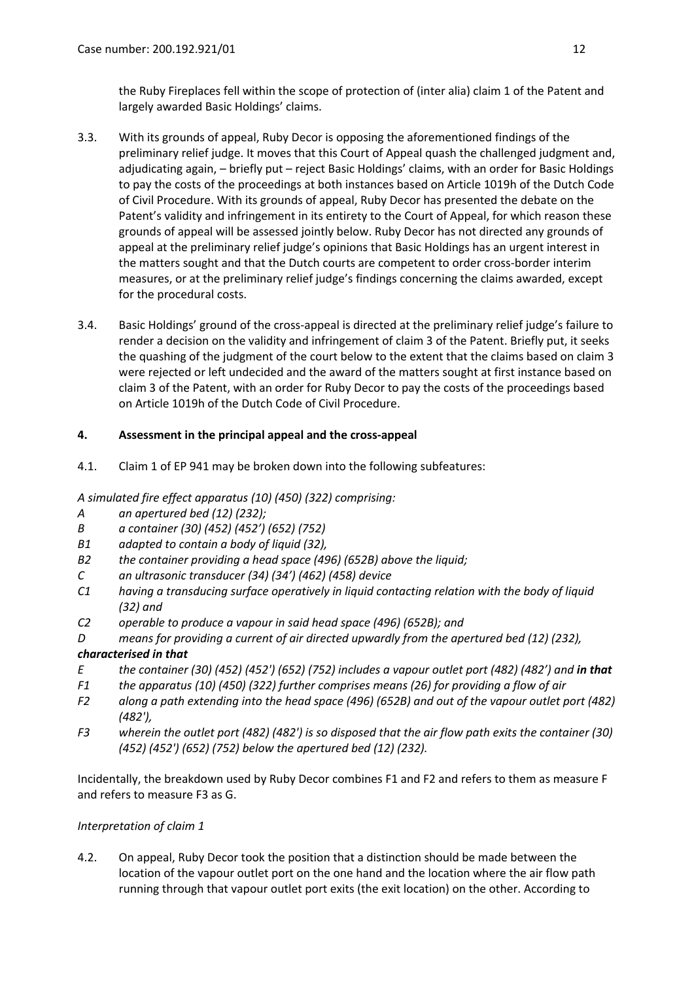the Ruby Fireplaces fell within the scope of protection of (inter alia) claim 1 of the Patent and largely awarded Basic Holdings' claims.

- 3.3. With its grounds of appeal, Ruby Decor is opposing the aforementioned findings of the preliminary relief judge. It moves that this Court of Appeal quash the challenged judgment and, adjudicating again, – briefly put – reject Basic Holdings' claims, with an order for Basic Holdings to pay the costs of the proceedings at both instances based on Article 1019h of the Dutch Code of Civil Procedure. With its grounds of appeal, Ruby Decor has presented the debate on the Patent's validity and infringement in its entirety to the Court of Appeal, for which reason these grounds of appeal will be assessed jointly below. Ruby Decor has not directed any grounds of appeal at the preliminary relief judge's opinions that Basic Holdings has an urgent interest in the matters sought and that the Dutch courts are competent to order cross-border interim measures, or at the preliminary relief judge's findings concerning the claims awarded, except for the procedural costs.
- 3.4. Basic Holdings' ground of the cross-appeal is directed at the preliminary relief judge's failure to render a decision on the validity and infringement of claim 3 of the Patent. Briefly put, it seeks the quashing of the judgment of the court below to the extent that the claims based on claim 3 were rejected or left undecided and the award of the matters sought at first instance based on claim 3 of the Patent, with an order for Ruby Decor to pay the costs of the proceedings based on Article 1019h of the Dutch Code of Civil Procedure.

# **4. Assessment in the principal appeal and the cross-appeal**

4.1. Claim 1 of EP 941 may be broken down into the following subfeatures:

*A simulated fire effect apparatus (10) (450) (322) comprising:*

- *A an apertured bed (12) (232);*
- *B a container (30) (452) (452') (652) (752)*
- *B1 adapted to contain a body of liquid (32),*
- *B2 the container providing a head space (496) (652B) above the liquid;*
- *C an ultrasonic transducer (34) (34') (462) (458) device*
- *C1 having a transducing surface operatively in liquid contacting relation with the body of liquid (32) and*
- *C2 operable to produce a vapour in said head space (496) (652B); and*
- *D means for providing a current of air directed upwardly from the apertured bed (12) (232),*

# *characterised in that*

- *E the container (30) (452) (452') (652) (752) includes a vapour outlet port (482) (482') and in that*
- *F1 the apparatus (10) (450) (322) further comprises means (26) for providing a flow of air*
- *F2 along a path extending into the head space (496) (652B) and out of the vapour outlet port (482) (482'),*
- *F3 wherein the outlet port (482) (482') is so disposed that the air flow path exits the container (30) (452) (452') (652) (752) below the apertured bed (12) (232).*

Incidentally, the breakdown used by Ruby Decor combines F1 and F2 and refers to them as measure F and refers to measure F3 as G.

# *Interpretation of claim 1*

4.2. On appeal, Ruby Decor took the position that a distinction should be made between the location of the vapour outlet port on the one hand and the location where the air flow path running through that vapour outlet port exits (the exit location) on the other. According to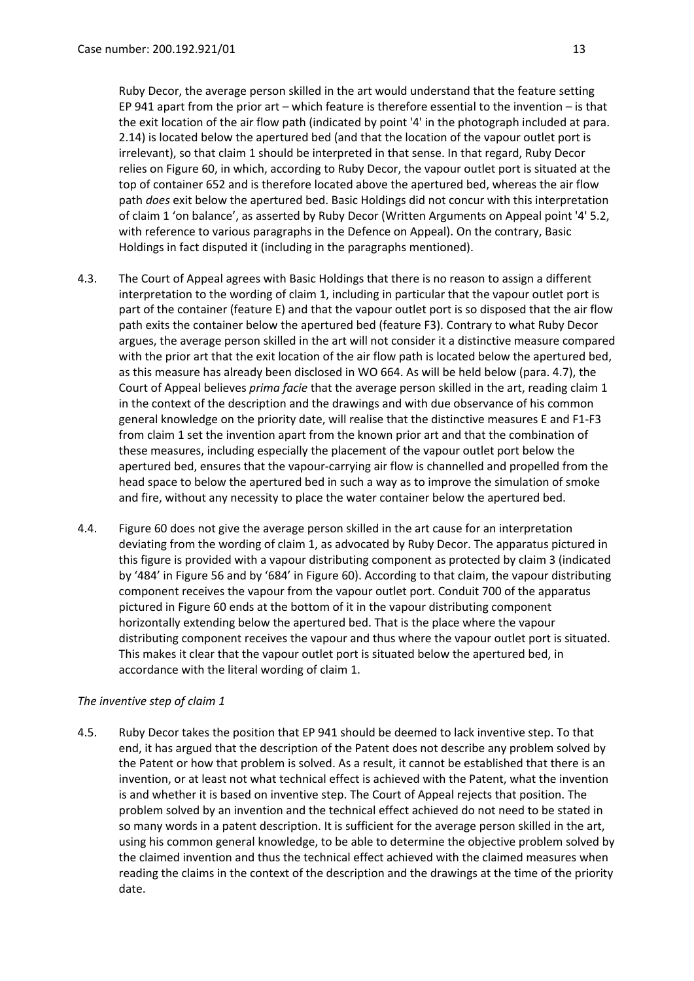Ruby Decor, the average person skilled in the art would understand that the feature setting EP 941 apart from the prior art – which feature is therefore essential to the invention – is that the exit location of the air flow path (indicated by point '4' in the photograph included at para. 2.14) is located below the apertured bed (and that the location of the vapour outlet port is irrelevant), so that claim 1 should be interpreted in that sense. In that regard, Ruby Decor relies on Figure 60, in which, according to Ruby Decor, the vapour outlet port is situated at the top of container 652 and is therefore located above the apertured bed, whereas the air flow path *does* exit below the apertured bed. Basic Holdings did not concur with this interpretation of claim 1 'on balance', as asserted by Ruby Decor (Written Arguments on Appeal point '4' 5.2, with reference to various paragraphs in the Defence on Appeal). On the contrary, Basic Holdings in fact disputed it (including in the paragraphs mentioned).

- 4.3. The Court of Appeal agrees with Basic Holdings that there is no reason to assign a different interpretation to the wording of claim 1, including in particular that the vapour outlet port is part of the container (feature E) and that the vapour outlet port is so disposed that the air flow path exits the container below the apertured bed (feature F3). Contrary to what Ruby Decor argues, the average person skilled in the art will not consider it a distinctive measure compared with the prior art that the exit location of the air flow path is located below the apertured bed, as this measure has already been disclosed in WO 664. As will be held below (para. 4.7), the Court of Appeal believes *prima facie* that the average person skilled in the art, reading claim 1 in the context of the description and the drawings and with due observance of his common general knowledge on the priority date, will realise that the distinctive measures E and F1-F3 from claim 1 set the invention apart from the known prior art and that the combination of these measures, including especially the placement of the vapour outlet port below the apertured bed, ensures that the vapour-carrying air flow is channelled and propelled from the head space to below the apertured bed in such a way as to improve the simulation of smoke and fire, without any necessity to place the water container below the apertured bed.
- 4.4. Figure 60 does not give the average person skilled in the art cause for an interpretation deviating from the wording of claim 1, as advocated by Ruby Decor. The apparatus pictured in this figure is provided with a vapour distributing component as protected by claim 3 (indicated by '484' in Figure 56 and by '684' in Figure 60). According to that claim, the vapour distributing component receives the vapour from the vapour outlet port. Conduit 700 of the apparatus pictured in Figure 60 ends at the bottom of it in the vapour distributing component horizontally extending below the apertured bed. That is the place where the vapour distributing component receives the vapour and thus where the vapour outlet port is situated. This makes it clear that the vapour outlet port is situated below the apertured bed, in accordance with the literal wording of claim 1.

# *The inventive step of claim 1*

4.5. Ruby Decor takes the position that EP 941 should be deemed to lack inventive step. To that end, it has argued that the description of the Patent does not describe any problem solved by the Patent or how that problem is solved. As a result, it cannot be established that there is an invention, or at least not what technical effect is achieved with the Patent, what the invention is and whether it is based on inventive step. The Court of Appeal rejects that position. The problem solved by an invention and the technical effect achieved do not need to be stated in so many words in a patent description. It is sufficient for the average person skilled in the art, using his common general knowledge, to be able to determine the objective problem solved by the claimed invention and thus the technical effect achieved with the claimed measures when reading the claims in the context of the description and the drawings at the time of the priority date.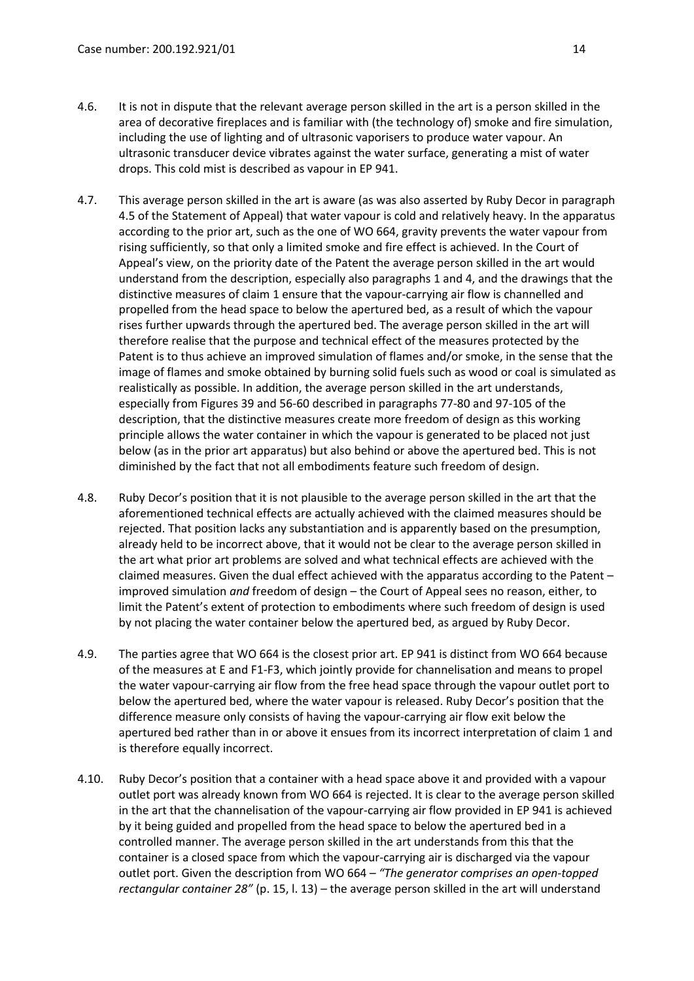- 4.6. It is not in dispute that the relevant average person skilled in the art is a person skilled in the area of decorative fireplaces and is familiar with (the technology of) smoke and fire simulation, including the use of lighting and of ultrasonic vaporisers to produce water vapour. An ultrasonic transducer device vibrates against the water surface, generating a mist of water drops. This cold mist is described as vapour in EP 941.
- 4.7. This average person skilled in the art is aware (as was also asserted by Ruby Decor in paragraph 4.5 of the Statement of Appeal) that water vapour is cold and relatively heavy. In the apparatus according to the prior art, such as the one of WO 664, gravity prevents the water vapour from rising sufficiently, so that only a limited smoke and fire effect is achieved. In the Court of Appeal's view, on the priority date of the Patent the average person skilled in the art would understand from the description, especially also paragraphs 1 and 4, and the drawings that the distinctive measures of claim 1 ensure that the vapour-carrying air flow is channelled and propelled from the head space to below the apertured bed, as a result of which the vapour rises further upwards through the apertured bed. The average person skilled in the art will therefore realise that the purpose and technical effect of the measures protected by the Patent is to thus achieve an improved simulation of flames and/or smoke, in the sense that the image of flames and smoke obtained by burning solid fuels such as wood or coal is simulated as realistically as possible. In addition, the average person skilled in the art understands, especially from Figures 39 and 56-60 described in paragraphs 77-80 and 97-105 of the description, that the distinctive measures create more freedom of design as this working principle allows the water container in which the vapour is generated to be placed not just below (as in the prior art apparatus) but also behind or above the apertured bed. This is not diminished by the fact that not all embodiments feature such freedom of design.
- 4.8. Ruby Decor's position that it is not plausible to the average person skilled in the art that the aforementioned technical effects are actually achieved with the claimed measures should be rejected. That position lacks any substantiation and is apparently based on the presumption, already held to be incorrect above, that it would not be clear to the average person skilled in the art what prior art problems are solved and what technical effects are achieved with the claimed measures. Given the dual effect achieved with the apparatus according to the Patent – improved simulation *and* freedom of design – the Court of Appeal sees no reason, either, to limit the Patent's extent of protection to embodiments where such freedom of design is used by not placing the water container below the apertured bed, as argued by Ruby Decor.
- 4.9. The parties agree that WO 664 is the closest prior art. EP 941 is distinct from WO 664 because of the measures at E and F1-F3, which jointly provide for channelisation and means to propel the water vapour-carrying air flow from the free head space through the vapour outlet port to below the apertured bed, where the water vapour is released. Ruby Decor's position that the difference measure only consists of having the vapour-carrying air flow exit below the apertured bed rather than in or above it ensues from its incorrect interpretation of claim 1 and is therefore equally incorrect.
- 4.10. Ruby Decor's position that a container with a head space above it and provided with a vapour outlet port was already known from WO 664 is rejected. It is clear to the average person skilled in the art that the channelisation of the vapour-carrying air flow provided in EP 941 is achieved by it being guided and propelled from the head space to below the apertured bed in a controlled manner. The average person skilled in the art understands from this that the container is a closed space from which the vapour-carrying air is discharged via the vapour outlet port. Given the description from WO 664 – *"The generator comprises an open-topped rectangular container 28"* (p. 15, l. 13) – the average person skilled in the art will understand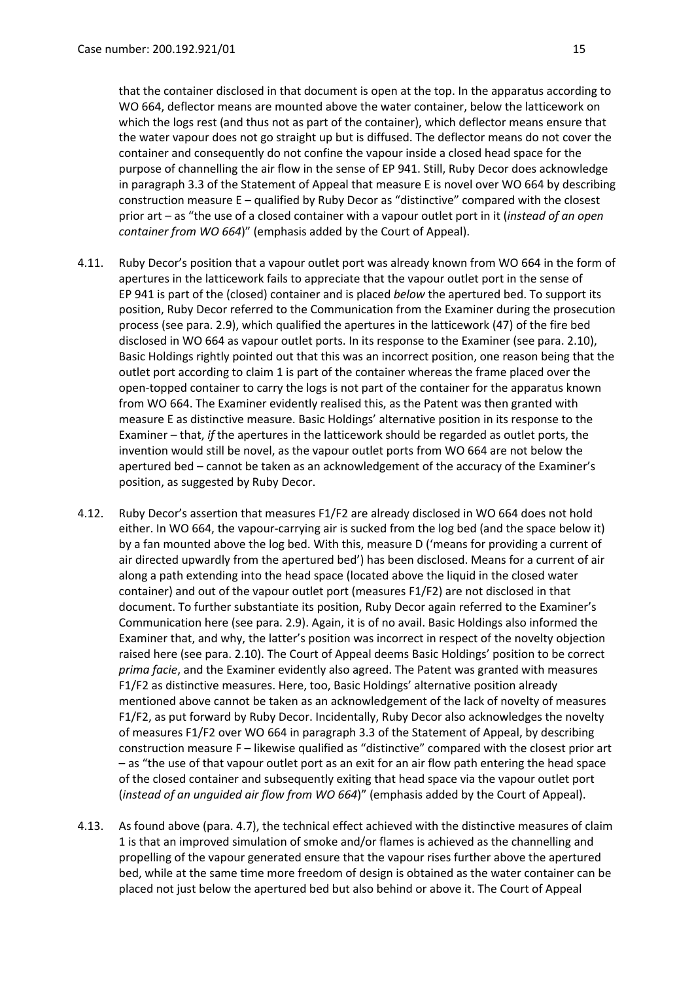that the container disclosed in that document is open at the top. In the apparatus according to WO 664, deflector means are mounted above the water container, below the latticework on which the logs rest (and thus not as part of the container), which deflector means ensure that the water vapour does not go straight up but is diffused. The deflector means do not cover the container and consequently do not confine the vapour inside a closed head space for the purpose of channelling the air flow in the sense of EP 941. Still, Ruby Decor does acknowledge in paragraph 3.3 of the Statement of Appeal that measure E is novel over WO 664 by describing construction measure E – qualified by Ruby Decor as "distinctive" compared with the closest prior art – as "the use of a closed container with a vapour outlet port in it (*instead of an open container from WO 664*)" (emphasis added by the Court of Appeal).

- 4.11. Ruby Decor's position that a vapour outlet port was already known from WO 664 in the form of apertures in the latticework fails to appreciate that the vapour outlet port in the sense of EP 941 is part of the (closed) container and is placed *below* the apertured bed. To support its position, Ruby Decor referred to the Communication from the Examiner during the prosecution process (see para. 2.9), which qualified the apertures in the latticework (47) of the fire bed disclosed in WO 664 as vapour outlet ports. In its response to the Examiner (see para. 2.10), Basic Holdings rightly pointed out that this was an incorrect position, one reason being that the outlet port according to claim 1 is part of the container whereas the frame placed over the open-topped container to carry the logs is not part of the container for the apparatus known from WO 664. The Examiner evidently realised this, as the Patent was then granted with measure E as distinctive measure. Basic Holdings' alternative position in its response to the Examiner – that, *if* the apertures in the latticework should be regarded as outlet ports, the invention would still be novel, as the vapour outlet ports from WO 664 are not below the apertured bed – cannot be taken as an acknowledgement of the accuracy of the Examiner's position, as suggested by Ruby Decor.
- 4.12. Ruby Decor's assertion that measures F1/F2 are already disclosed in WO 664 does not hold either. In WO 664, the vapour-carrying air is sucked from the log bed (and the space below it) by a fan mounted above the log bed. With this, measure D ('means for providing a current of air directed upwardly from the apertured bed') has been disclosed. Means for a current of air along a path extending into the head space (located above the liquid in the closed water container) and out of the vapour outlet port (measures F1/F2) are not disclosed in that document. To further substantiate its position, Ruby Decor again referred to the Examiner's Communication here (see para. 2.9). Again, it is of no avail. Basic Holdings also informed the Examiner that, and why, the latter's position was incorrect in respect of the novelty objection raised here (see para. 2.10). The Court of Appeal deems Basic Holdings' position to be correct *prima facie*, and the Examiner evidently also agreed. The Patent was granted with measures F1/F2 as distinctive measures. Here, too, Basic Holdings' alternative position already mentioned above cannot be taken as an acknowledgement of the lack of novelty of measures F1/F2, as put forward by Ruby Decor. Incidentally, Ruby Decor also acknowledges the novelty of measures F1/F2 over WO 664 in paragraph 3.3 of the Statement of Appeal, by describing construction measure F – likewise qualified as "distinctive" compared with the closest prior art – as "the use of that vapour outlet port as an exit for an air flow path entering the head space of the closed container and subsequently exiting that head space via the vapour outlet port (*instead of an unguided air flow from WO 664*)" (emphasis added by the Court of Appeal).
- 4.13. As found above (para. 4.7), the technical effect achieved with the distinctive measures of claim 1 is that an improved simulation of smoke and/or flames is achieved as the channelling and propelling of the vapour generated ensure that the vapour rises further above the apertured bed, while at the same time more freedom of design is obtained as the water container can be placed not just below the apertured bed but also behind or above it. The Court of Appeal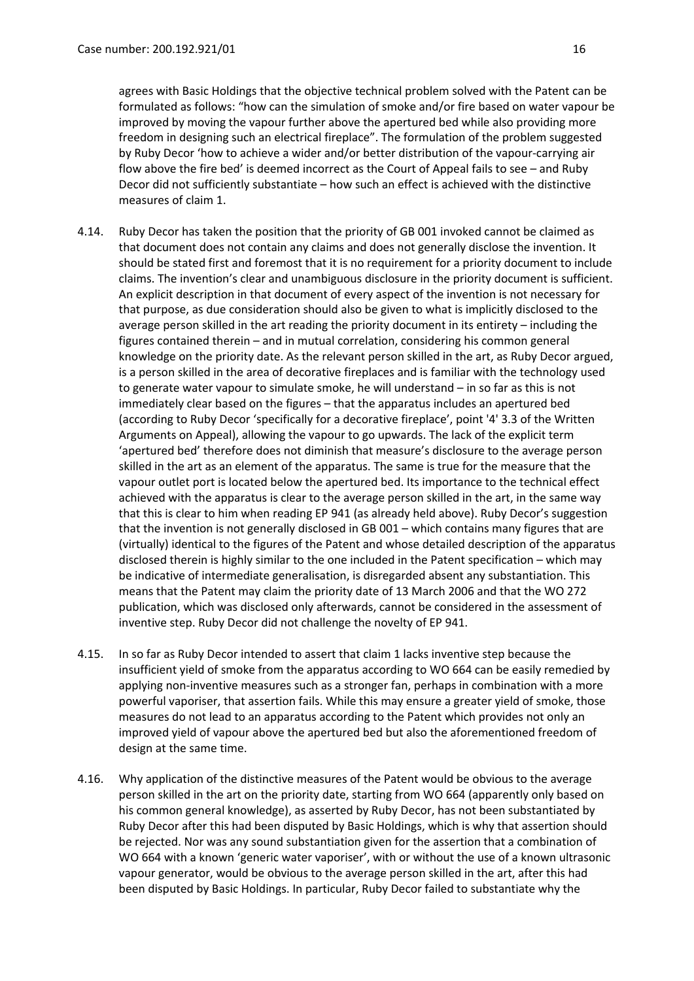agrees with Basic Holdings that the objective technical problem solved with the Patent can be formulated as follows: "how can the simulation of smoke and/or fire based on water vapour be improved by moving the vapour further above the apertured bed while also providing more freedom in designing such an electrical fireplace". The formulation of the problem suggested by Ruby Decor 'how to achieve a wider and/or better distribution of the vapour-carrying air flow above the fire bed' is deemed incorrect as the Court of Appeal fails to see – and Ruby Decor did not sufficiently substantiate – how such an effect is achieved with the distinctive measures of claim 1.

- 4.14. Ruby Decor has taken the position that the priority of GB 001 invoked cannot be claimed as that document does not contain any claims and does not generally disclose the invention. It should be stated first and foremost that it is no requirement for a priority document to include claims. The invention's clear and unambiguous disclosure in the priority document is sufficient. An explicit description in that document of every aspect of the invention is not necessary for that purpose, as due consideration should also be given to what is implicitly disclosed to the average person skilled in the art reading the priority document in its entirety – including the figures contained therein – and in mutual correlation, considering his common general knowledge on the priority date. As the relevant person skilled in the art, as Ruby Decor argued, is a person skilled in the area of decorative fireplaces and is familiar with the technology used to generate water vapour to simulate smoke, he will understand – in so far as this is not immediately clear based on the figures – that the apparatus includes an apertured bed (according to Ruby Decor 'specifically for a decorative fireplace', point '4' 3.3 of the Written Arguments on Appeal), allowing the vapour to go upwards. The lack of the explicit term 'apertured bed' therefore does not diminish that measure's disclosure to the average person skilled in the art as an element of the apparatus. The same is true for the measure that the vapour outlet port is located below the apertured bed. Its importance to the technical effect achieved with the apparatus is clear to the average person skilled in the art, in the same way that this is clear to him when reading EP 941 (as already held above). Ruby Decor's suggestion that the invention is not generally disclosed in GB 001 – which contains many figures that are (virtually) identical to the figures of the Patent and whose detailed description of the apparatus disclosed therein is highly similar to the one included in the Patent specification – which may be indicative of intermediate generalisation, is disregarded absent any substantiation. This means that the Patent may claim the priority date of 13 March 2006 and that the WO 272 publication, which was disclosed only afterwards, cannot be considered in the assessment of inventive step. Ruby Decor did not challenge the novelty of EP 941.
- 4.15. In so far as Ruby Decor intended to assert that claim 1 lacks inventive step because the insufficient yield of smoke from the apparatus according to WO 664 can be easily remedied by applying non-inventive measures such as a stronger fan, perhaps in combination with a more powerful vaporiser, that assertion fails. While this may ensure a greater yield of smoke, those measures do not lead to an apparatus according to the Patent which provides not only an improved yield of vapour above the apertured bed but also the aforementioned freedom of design at the same time.
- 4.16. Why application of the distinctive measures of the Patent would be obvious to the average person skilled in the art on the priority date, starting from WO 664 (apparently only based on his common general knowledge), as asserted by Ruby Decor, has not been substantiated by Ruby Decor after this had been disputed by Basic Holdings, which is why that assertion should be rejected. Nor was any sound substantiation given for the assertion that a combination of WO 664 with a known 'generic water vaporiser', with or without the use of a known ultrasonic vapour generator, would be obvious to the average person skilled in the art, after this had been disputed by Basic Holdings. In particular, Ruby Decor failed to substantiate why the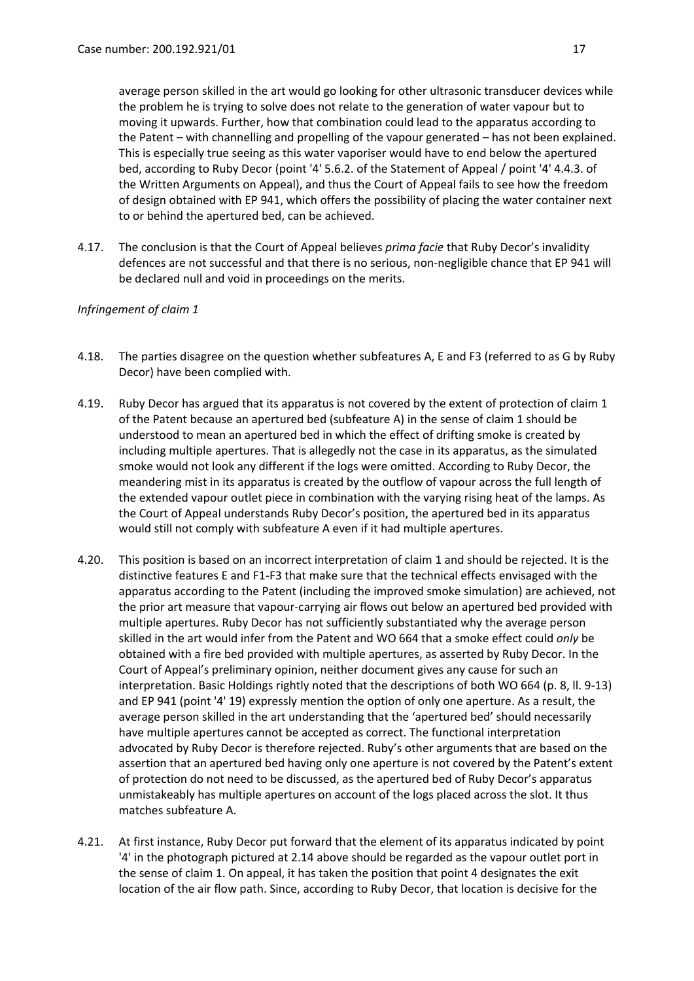average person skilled in the art would go looking for other ultrasonic transducer devices while the problem he is trying to solve does not relate to the generation of water vapour but to moving it upwards. Further, how that combination could lead to the apparatus according to the Patent – with channelling and propelling of the vapour generated – has not been explained. This is especially true seeing as this water vaporiser would have to end below the apertured bed, according to Ruby Decor (point '4' 5.6.2. of the Statement of Appeal / point '4' 4.4.3. of the Written Arguments on Appeal), and thus the Court of Appeal fails to see how the freedom of design obtained with EP 941, which offers the possibility of placing the water container next to or behind the apertured bed, can be achieved.

4.17. The conclusion is that the Court of Appeal believes *prima facie* that Ruby Decor's invalidity defences are not successful and that there is no serious, non-negligible chance that EP 941 will be declared null and void in proceedings on the merits.

# *Infringement of claim 1*

- 4.18. The parties disagree on the question whether subfeatures A, E and F3 (referred to as G by Ruby Decor) have been complied with.
- 4.19. Ruby Decor has argued that its apparatus is not covered by the extent of protection of claim 1 of the Patent because an apertured bed (subfeature A) in the sense of claim 1 should be understood to mean an apertured bed in which the effect of drifting smoke is created by including multiple apertures. That is allegedly not the case in its apparatus, as the simulated smoke would not look any different if the logs were omitted. According to Ruby Decor, the meandering mist in its apparatus is created by the outflow of vapour across the full length of the extended vapour outlet piece in combination with the varying rising heat of the lamps. As the Court of Appeal understands Ruby Decor's position, the apertured bed in its apparatus would still not comply with subfeature A even if it had multiple apertures.
- 4.20. This position is based on an incorrect interpretation of claim 1 and should be rejected. It is the distinctive features E and F1-F3 that make sure that the technical effects envisaged with the apparatus according to the Patent (including the improved smoke simulation) are achieved, not the prior art measure that vapour-carrying air flows out below an apertured bed provided with multiple apertures. Ruby Decor has not sufficiently substantiated why the average person skilled in the art would infer from the Patent and WO 664 that a smoke effect could *only* be obtained with a fire bed provided with multiple apertures, as asserted by Ruby Decor. In the Court of Appeal's preliminary opinion, neither document gives any cause for such an interpretation. Basic Holdings rightly noted that the descriptions of both WO 664 (p. 8, ll. 9-13) and EP 941 (point '4' 19) expressly mention the option of only one aperture. As a result, the average person skilled in the art understanding that the 'apertured bed' should necessarily have multiple apertures cannot be accepted as correct. The functional interpretation advocated by Ruby Decor is therefore rejected. Ruby's other arguments that are based on the assertion that an apertured bed having only one aperture is not covered by the Patent's extent of protection do not need to be discussed, as the apertured bed of Ruby Decor's apparatus unmistakeably has multiple apertures on account of the logs placed across the slot. It thus matches subfeature A.
- 4.21. At first instance, Ruby Decor put forward that the element of its apparatus indicated by point '4' in the photograph pictured at 2.14 above should be regarded as the vapour outlet port in the sense of claim 1. On appeal, it has taken the position that point 4 designates the exit location of the air flow path. Since, according to Ruby Decor, that location is decisive for the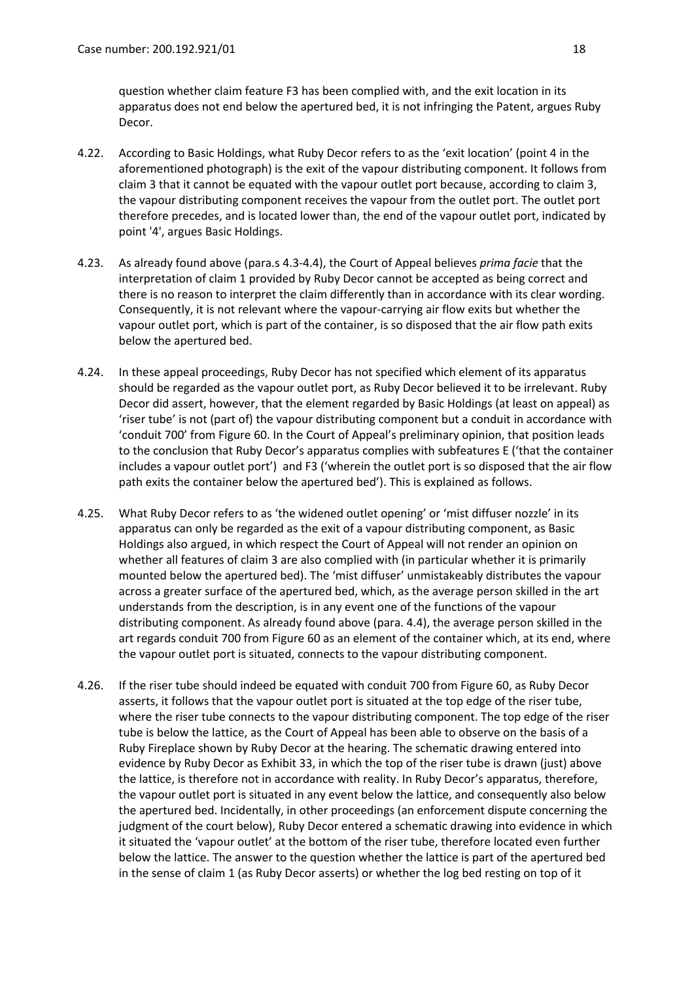question whether claim feature F3 has been complied with, and the exit location in its apparatus does not end below the apertured bed, it is not infringing the Patent, argues Ruby Decor.

- 4.22. According to Basic Holdings, what Ruby Decor refers to as the 'exit location' (point 4 in the aforementioned photograph) is the exit of the vapour distributing component. It follows from claim 3 that it cannot be equated with the vapour outlet port because, according to claim 3, the vapour distributing component receives the vapour from the outlet port. The outlet port therefore precedes, and is located lower than, the end of the vapour outlet port, indicated by point '4', argues Basic Holdings.
- 4.23. As already found above (para.s 4.3-4.4), the Court of Appeal believes *prima facie* that the interpretation of claim 1 provided by Ruby Decor cannot be accepted as being correct and there is no reason to interpret the claim differently than in accordance with its clear wording. Consequently, it is not relevant where the vapour-carrying air flow exits but whether the vapour outlet port, which is part of the container, is so disposed that the air flow path exits below the apertured bed.
- 4.24. In these appeal proceedings, Ruby Decor has not specified which element of its apparatus should be regarded as the vapour outlet port, as Ruby Decor believed it to be irrelevant. Ruby Decor did assert, however, that the element regarded by Basic Holdings (at least on appeal) as 'riser tube' is not (part of) the vapour distributing component but a conduit in accordance with 'conduit 700' from Figure 60. In the Court of Appeal's preliminary opinion, that position leads to the conclusion that Ruby Decor's apparatus complies with subfeatures E ('that the container includes a vapour outlet port') and F3 ('wherein the outlet port is so disposed that the air flow path exits the container below the apertured bed'). This is explained as follows.
- 4.25. What Ruby Decor refers to as 'the widened outlet opening' or 'mist diffuser nozzle' in its apparatus can only be regarded as the exit of a vapour distributing component, as Basic Holdings also argued, in which respect the Court of Appeal will not render an opinion on whether all features of claim 3 are also complied with (in particular whether it is primarily mounted below the apertured bed). The 'mist diffuser' unmistakeably distributes the vapour across a greater surface of the apertured bed, which, as the average person skilled in the art understands from the description, is in any event one of the functions of the vapour distributing component. As already found above (para. 4.4), the average person skilled in the art regards conduit 700 from Figure 60 as an element of the container which, at its end, where the vapour outlet port is situated, connects to the vapour distributing component.
- 4.26. If the riser tube should indeed be equated with conduit 700 from Figure 60, as Ruby Decor asserts, it follows that the vapour outlet port is situated at the top edge of the riser tube, where the riser tube connects to the vapour distributing component. The top edge of the riser tube is below the lattice, as the Court of Appeal has been able to observe on the basis of a Ruby Fireplace shown by Ruby Decor at the hearing. The schematic drawing entered into evidence by Ruby Decor as Exhibit 33, in which the top of the riser tube is drawn (just) above the lattice, is therefore not in accordance with reality. In Ruby Decor's apparatus, therefore, the vapour outlet port is situated in any event below the lattice, and consequently also below the apertured bed. Incidentally, in other proceedings (an enforcement dispute concerning the judgment of the court below), Ruby Decor entered a schematic drawing into evidence in which it situated the 'vapour outlet' at the bottom of the riser tube, therefore located even further below the lattice. The answer to the question whether the lattice is part of the apertured bed in the sense of claim 1 (as Ruby Decor asserts) or whether the log bed resting on top of it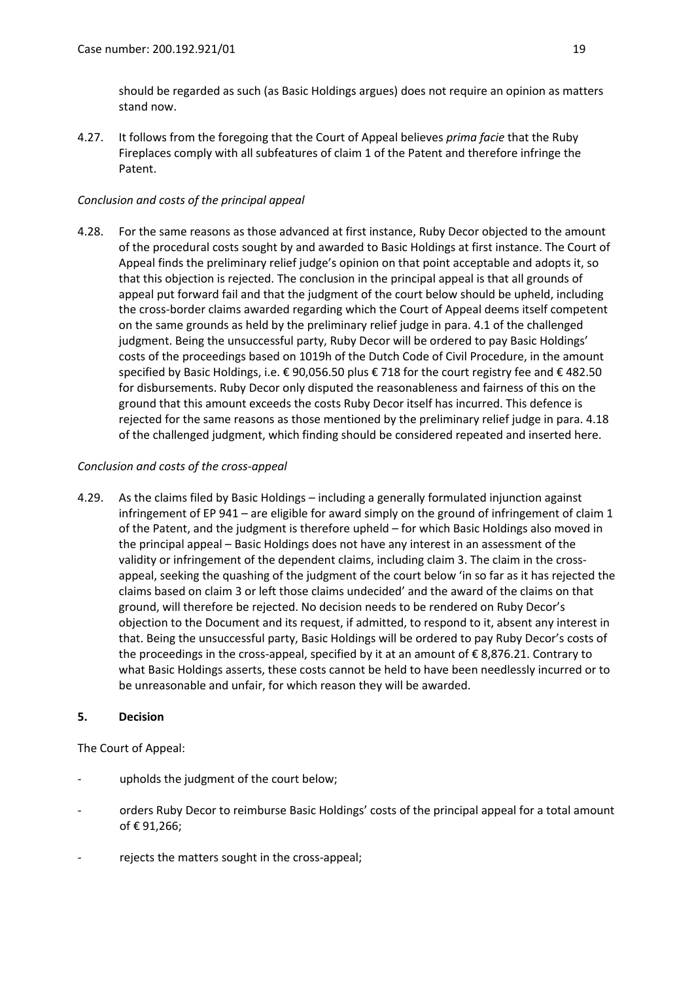should be regarded as such (as Basic Holdings argues) does not require an opinion as matters stand now.

4.27. It follows from the foregoing that the Court of Appeal believes *prima facie* that the Ruby Fireplaces comply with all subfeatures of claim 1 of the Patent and therefore infringe the Patent.

## *Conclusion and costs of the principal appeal*

4.28. For the same reasons as those advanced at first instance, Ruby Decor objected to the amount of the procedural costs sought by and awarded to Basic Holdings at first instance. The Court of Appeal finds the preliminary relief judge's opinion on that point acceptable and adopts it, so that this objection is rejected. The conclusion in the principal appeal is that all grounds of appeal put forward fail and that the judgment of the court below should be upheld, including the cross-border claims awarded regarding which the Court of Appeal deems itself competent on the same grounds as held by the preliminary relief judge in para. 4.1 of the challenged judgment. Being the unsuccessful party, Ruby Decor will be ordered to pay Basic Holdings' costs of the proceedings based on 1019h of the Dutch Code of Civil Procedure, in the amount specified by Basic Holdings, i.e. € 90,056.50 plus € 718 for the court registry fee and € 482.50 for disbursements. Ruby Decor only disputed the reasonableness and fairness of this on the ground that this amount exceeds the costs Ruby Decor itself has incurred. This defence is rejected for the same reasons as those mentioned by the preliminary relief judge in para. 4.18 of the challenged judgment, which finding should be considered repeated and inserted here.

# *Conclusion and costs of the cross-appeal*

4.29. As the claims filed by Basic Holdings – including a generally formulated injunction against infringement of EP 941 – are eligible for award simply on the ground of infringement of claim 1 of the Patent, and the judgment is therefore upheld – for which Basic Holdings also moved in the principal appeal – Basic Holdings does not have any interest in an assessment of the validity or infringement of the dependent claims, including claim 3. The claim in the crossappeal, seeking the quashing of the judgment of the court below 'in so far as it has rejected the claims based on claim 3 or left those claims undecided' and the award of the claims on that ground, will therefore be rejected. No decision needs to be rendered on Ruby Decor's objection to the Document and its request, if admitted, to respond to it, absent any interest in that. Being the unsuccessful party, Basic Holdings will be ordered to pay Ruby Decor's costs of the proceedings in the cross-appeal, specified by it at an amount of € 8,876.21. Contrary to what Basic Holdings asserts, these costs cannot be held to have been needlessly incurred or to be unreasonable and unfair, for which reason they will be awarded.

#### **5. Decision**

The Court of Appeal:

- upholds the judgment of the court below;
- orders Ruby Decor to reimburse Basic Holdings' costs of the principal appeal for a total amount of € 91,266;
- rejects the matters sought in the cross-appeal;